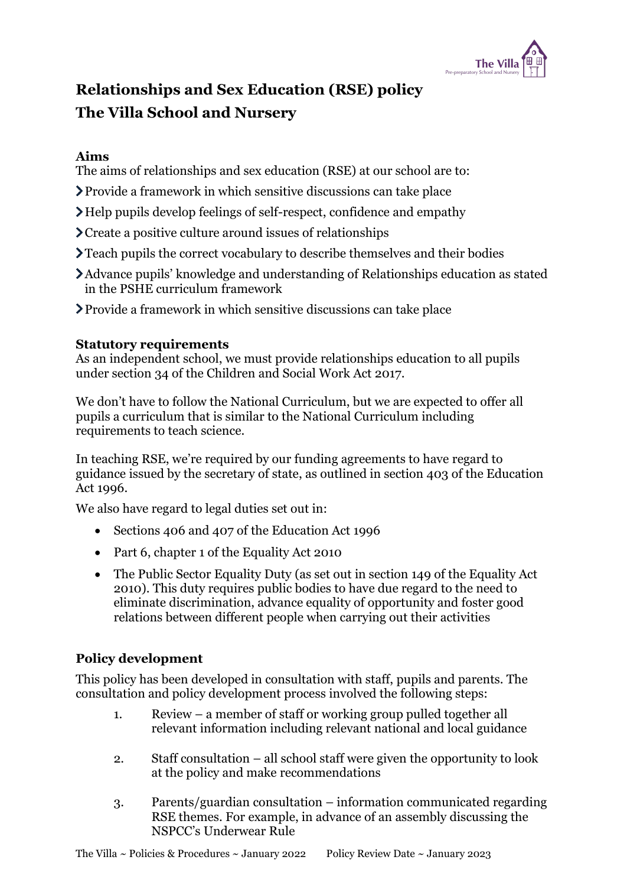

# **Relationships and Sex Education (RSE) policy The Villa School and Nursery**

## **Aims**

The aims of relationships and sex education (RSE) at our school are to:

- Provide a framework in which sensitive discussions can take place
- Help pupils develop feelings of self-respect, confidence and empathy
- Create a positive culture around issues of relationships
- Teach pupils the correct vocabulary to describe themselves and their bodies
- Advance pupils' knowledge and understanding of Relationships education as stated in the PSHE curriculum framework
- Provide a framework in which sensitive discussions can take place

# **Statutory requirements**

As an independent school, we must provide relationships education to all pupils under section 34 of the [Children and Social Work Act 2017.](http://www.legislation.gov.uk/ukpga/2017/16/section/34/enacted)

We don't have to follow the National Curriculum, but we are expected to offer all pupils a curriculum that is similar to the National Curriculum including requirements to teach science.

In teaching RSE, we're required by our funding agreements to have regard to [guidance](https://www.gov.uk/government/publications/relationships-education-relationships-and-sex-education-rse-and-health-education) issued by the secretary of state, as outlined in section 403 of the [Education](http://www.legislation.gov.uk/ukpga/1996/56/contents)  [Act 1996.](http://www.legislation.gov.uk/ukpga/1996/56/contents)

We also have regard to legal duties set out in:

- Sections 406 and 407 of the Education Act 1996
- Part 6, chapter 1 of the [Equality Act 2010](https://www.legislation.gov.uk/ukpga/2010/15/contents)
- The Public Sector Equality Duty (as set out in section 149 of the Equality Act 2010). This duty requires public bodies to have due regard to the need to eliminate discrimination, advance equality of opportunity and foster good relations between different people when carrying out their activities

# **Policy development**

This policy has been developed in consultation with staff, pupils and parents. The consultation and policy development process involved the following steps:

- 1. Review a member of staff or working group pulled together all relevant information including relevant national and local guidance
- 2. Staff consultation all school staff were given the opportunity to look at the policy and make recommendations
- 3. Parents/guardian consultation information communicated regarding RSE themes. For example, in advance of an assembly discussing the NSPCC's Underwear Rule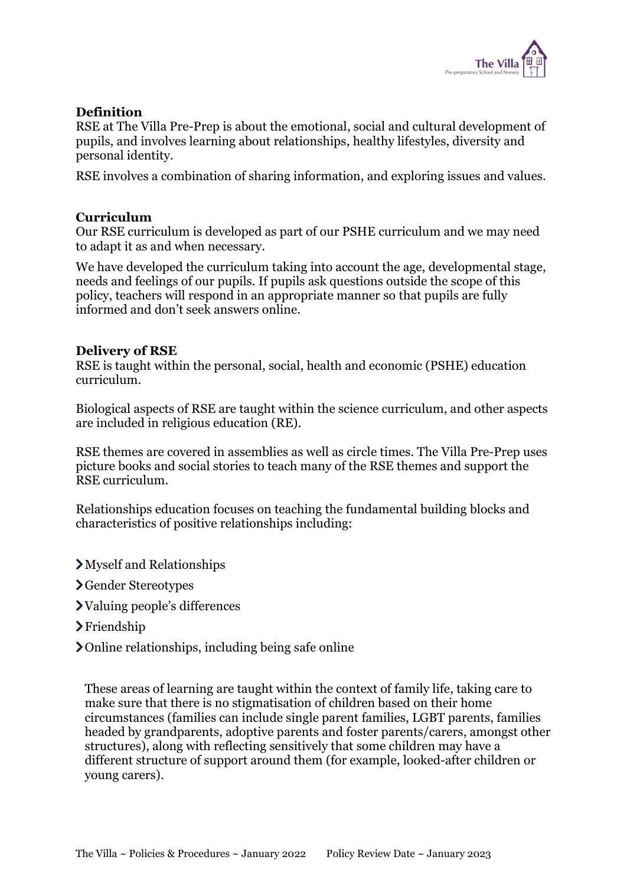

#### **Definition**

RSE at The Villa Pre-Prep is about the emotional, social and cultural development of pupils, and involves learning about relationships, healthy lifestyles, diversity and personal identity.

RSE involves a combination of sharing information, and exploring issues and values.

#### **Curriculum**

Our RSE curriculum is developed as part of our PSHE curriculum and we may need to adapt it as and when necessary.

We have developed the curriculum taking into account the age, developmental stage, needs and feelings of our pupils. If pupils ask questions outside the scope of this policy, teachers will respond in an appropriate manner so that pupils are fully informed and don't seek answers online.

#### **Delivery of RSE**

RSE is taught within the personal, social, health and economic (PSHE) education curriculum.

Biological aspects of RSE are taught within the science curriculum, and other aspects are included in religious education (RE).

RSE themes are covered in assemblies as well as circle times. The Villa Pre-Prep uses picture books and social stories to teach many of the RSE themes and support the RSE curriculum.

Relationships education focuses on teaching the fundamental building blocks and characteristics of positive relationships including:

- Myself and Relationships
- Gender Stereotypes
- Valuing people's differences
- >Friendship
- Online relationships, including being safe online

These areas of learning are taught within the context of family life, taking care to make sure that there is no stigmatisation of children based on their home circumstances (families can include single parent families, LGBT parents, families headed by grandparents, adoptive parents and foster parents/carers, amongst other structures), along with reflecting sensitively that some children may have a different structure of support around them (for example, looked-after children or young carers).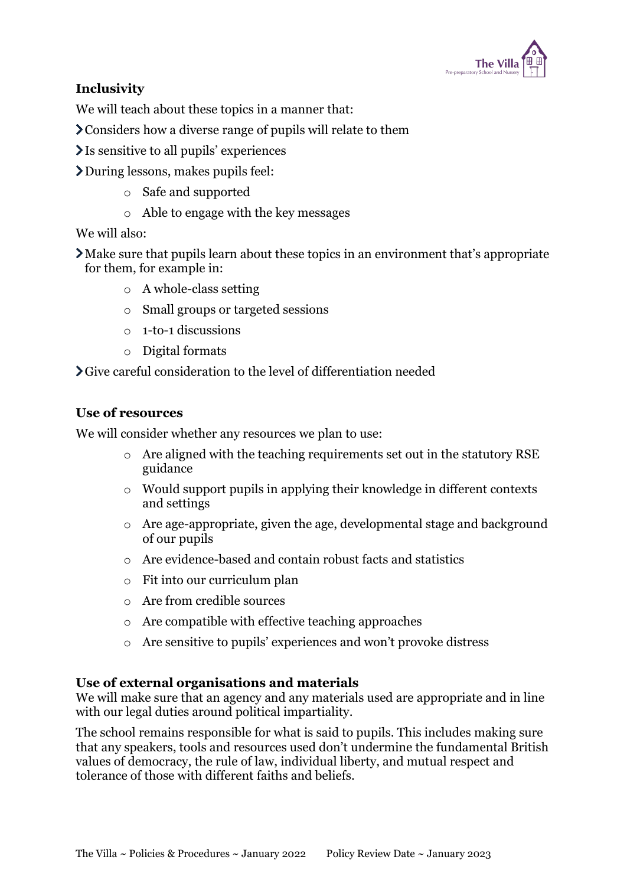

# **Inclusivity**

We will teach about these topics in a manner that:

- Considers how a diverse range of pupils will relate to them
- Is sensitive to all pupils' experiences
- During lessons, makes pupils feel:
	- o Safe and supported
	- o Able to engage with the key messages

#### We will also:

Make sure that pupils learn about these topics in an environment that's appropriate for them, for example in:

- o A whole-class setting
- o Small groups or targeted sessions
- $\circ$  1-to-1 discussions
- o Digital formats

Give careful consideration to the level of differentiation needed

#### **Use of resources**

We will consider whether any resources we plan to use:

- o Are aligned with the teaching requirements set out in the statutory RSE guidance
- o Would support pupils in applying their knowledge in different contexts and settings
- o Are age-appropriate, given the age, developmental stage and background of our pupils
- o Are evidence-based and contain robust facts and statistics
- o Fit into our curriculum plan
- o Are from credible sources
- o Are compatible with effective teaching approaches
- o Are sensitive to pupils' experiences and won't provoke distress

#### **Use of external organisations and materials**

We will make sure that an agency and any materials used are appropriate and in line with our legal duties around political impartiality.

The school remains responsible for what is said to pupils. This includes making sure that any speakers, tools and resources used don't undermine the fundamental British values of democracy, the rule of law, individual liberty, and mutual respect and tolerance of those with different faiths and beliefs.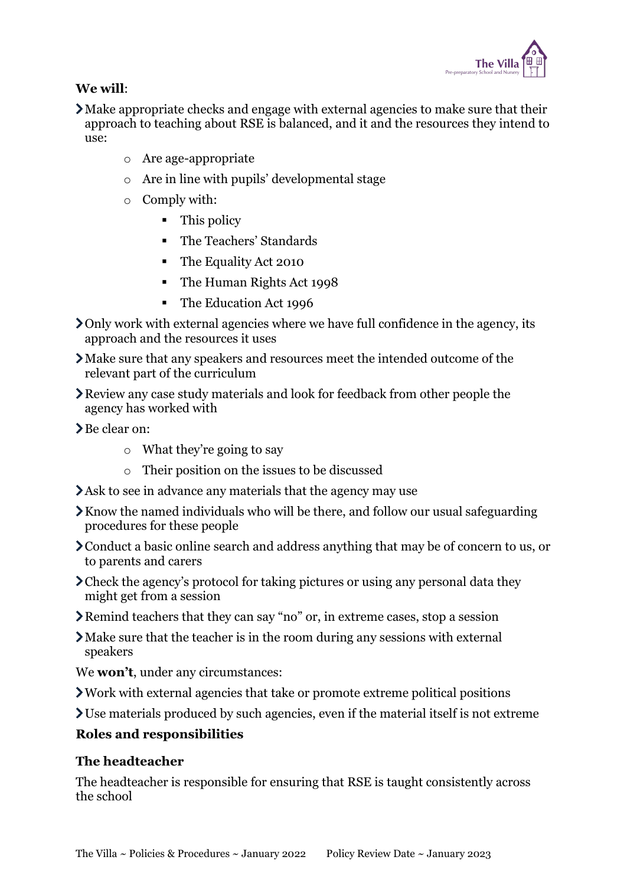

# **We will**:

- Make appropriate checks and engage with external agencies to make sure that their approach to teaching about RSE is balanced, and it and the resources they intend to use:
	- o Are age-appropriate
	- o Are in line with pupils' developmental stage
	- o Comply with:
		- This policy
		- The [Teachers' Standards](https://www.gov.uk/government/publications/teachers-standards)
		- The [Equality Act 2010](https://www.legislation.gov.uk/ukpga/2010/15/contents)
		- The [Human Rights Act 1998](https://www.legislation.gov.uk/ukpga/1998/42/contents)
		- The [Education Act 1996](https://www.legislation.gov.uk/ukpga/1996/56/contents)
- Only work with external agencies where we have full confidence in the agency, its approach and the resources it uses
- Make sure that any speakers and resources meet the intended outcome of the relevant part of the curriculum
- Review any case study materials and look for feedback from other people the agency has worked with
- Be clear on:
	- o What they're going to say
	- o Their position on the issues to be discussed
- Ask to see in advance any materials that the agency may use
- Know the named individuals who will be there, and follow our usual safeguarding procedures for these people
- Conduct a basic online search and address anything that may be of concern to us, or to parents and carers
- Check the agency's protocol for taking pictures or using any personal data they might get from a session
- Remind teachers that they can say "no" or, in extreme cases, stop a session
- Make sure that the teacher is in the room during any sessions with external speakers
- We **won't**, under any circumstances:
- Work with external agencies that take or promote extreme political positions
- Use materials produced by such agencies, even if the material itself is not extreme

## **Roles and responsibilities**

#### **The headteacher**

The headteacher is responsible for ensuring that RSE is taught consistently across the school